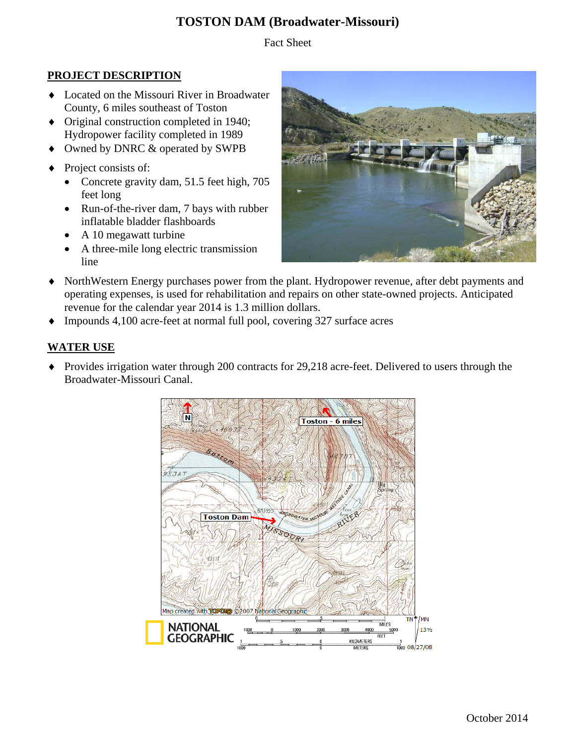# **TOSTON DAM (Broadwater-Missouri)**

Fact Sheet

## **PROJECT DESCRIPTION**

- Located on the Missouri River in Broadwater County, 6 miles southeast of Toston
- Original construction completed in 1940; Hydropower facility completed in 1989
- Owned by DNRC & operated by SWPB
- Project consists of:
	- Concrete gravity dam, 51.5 feet high, 705 feet long
	- Run-of-the-river dam, 7 bays with rubber inflatable bladder flashboards
	- A 10 megawatt turbine
	- A three-mile long electric transmission line



- NorthWestern Energy purchases power from the plant. Hydropower revenue, after debt payments and operating expenses, is used for rehabilitation and repairs on other state-owned projects. Anticipated revenue for the calendar year 2014 is 1.3 million dollars.
- Impounds 4,100 acre-feet at normal full pool, covering 327 surface acres

### **WATER USE**

• Provides irrigation water through 200 contracts for 29,218 acre-feet. Delivered to users through the Broadwater-Missouri Canal.